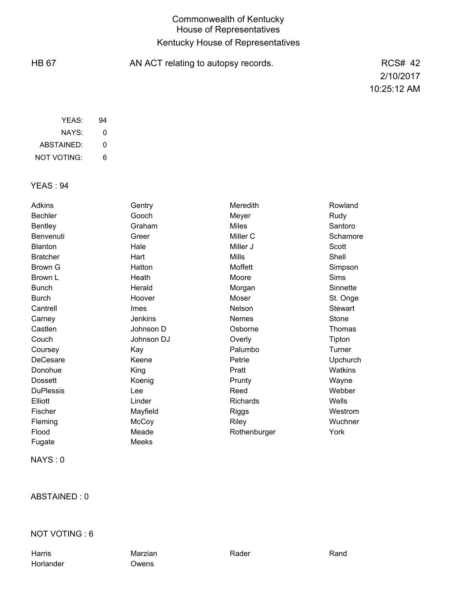# Commonwealth of Kentucky House of Representatives Kentucky House of Representatives

| <b>HB 67</b> | AN ACT relating to autopsy records. | <b>RCS# 42</b> |
|--------------|-------------------------------------|----------------|
|              |                                     | 2/10/2017      |
|              |                                     | 10:25:12 AM    |
|              |                                     |                |

| YFAS:       | 94 |
|-------------|----|
| NAYS:       | Ω  |
| ABSTAINED:  | 0  |
| NOT VOTING: | 6  |

### YEAS : 94

| <b>Adkins</b>    | Gentry         | Meredith     | Rowland        |
|------------------|----------------|--------------|----------------|
| <b>Bechler</b>   | Gooch          | Meyer        | Rudy           |
| <b>Bentley</b>   | Graham         | <b>Miles</b> | Santoro        |
| Benvenuti        | Greer          | Miller C     | Schamore       |
| <b>Blanton</b>   | Hale           | Miller J     | Scott          |
| <b>Bratcher</b>  | Hart           | <b>Mills</b> | Shell          |
| Brown G          | Hatton         | Moffett      | Simpson        |
| Brown L          | Heath          | Moore        | <b>Sims</b>    |
| <b>Bunch</b>     | Herald         | Morgan       | Sinnette       |
| Burch            | Hoover         | Moser        | St. Onge       |
| Cantrell         | Imes           | Nelson       | <b>Stewart</b> |
| Carney           | <b>Jenkins</b> | <b>Nemes</b> | Stone          |
| Castlen          | Johnson D      | Osborne      | Thomas         |
| Couch            | Johnson DJ     | Overly       | Tipton         |
| Coursey          | Kay            | Palumbo      | Turner         |
| DeCesare         | Keene          | Petrie       | Upchurch       |
| Donohue          | King           | Pratt        | Watkins        |
| <b>Dossett</b>   | Koenig         | Prunty       | Wayne          |
| <b>DuPlessis</b> | Lee            | Reed         | Webber         |
| Elliott          | Linder         | Richards     | Wells          |
| Fischer          | Mayfield       | Riggs        | Westrom        |
| Fleming          | McCoy          | Riley        | Wuchner        |
| Flood            | Meade          | Rothenburger | York           |
| Fugate           | Meeks          |              |                |

NAYS : 0

### ABSTAINED : 0

#### NOT VOTING : 6

Harris Marzian Rader Rand Horlander Owens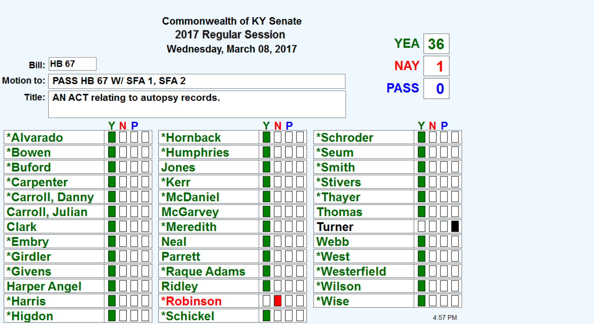|                           |                    |                                         | <b>Commonwealth of KY Senate</b>             |     |              |             |         |
|---------------------------|--------------------|-----------------------------------------|----------------------------------------------|-----|--------------|-------------|---------|
| 2017 Regular Session      |                    |                                         |                                              |     |              |             |         |
| Wednesday, March 08, 2017 |                    |                                         |                                              |     |              | <b>YEA</b>  | 36      |
|                           | <b>Bill: HB 67</b> |                                         |                                              |     | <b>NAY</b>   | 1           |         |
|                           |                    | Motion to:   PASS HB 67 W/ SFA 1, SFA 2 |                                              |     |              | <b>PASS</b> | 0       |
|                           |                    |                                         | Title:   AN ACT relating to autopsy records. |     |              |             |         |
|                           |                    |                                         |                                              |     |              |             |         |
|                           |                    | YNP                                     |                                              | YNP |              |             | YNP     |
| <b>*Alvarado</b>          |                    |                                         | *Hornback                                    |     | *Schroder    |             |         |
| *Bowen                    |                    |                                         | <b>*Humphries</b>                            |     | *Seum        |             |         |
| *Buford                   |                    |                                         | Jones                                        |     | *Smith       |             |         |
| *Carpenter                |                    |                                         | *Kerr                                        |     | *Stivers     |             |         |
| *Carroll, Danny           |                    |                                         | <b>*McDaniel</b>                             |     | *Thayer      |             |         |
| <b>Carroll, Julian</b>    |                    |                                         | <b>McGarvey</b>                              |     | Thomas       |             |         |
| <b>Clark</b>              |                    |                                         | *Meredith                                    |     | Turner       |             |         |
| *Embry                    |                    |                                         | <b>Neal</b>                                  |     | Webb         |             |         |
| *Girdler                  |                    |                                         | <b>Parrett</b>                               |     | *West        |             |         |
| <i><b>*Givens</b></i>     |                    |                                         | *Raque Adams                                 |     | *Westerfield |             |         |
| <b>Harper Angel</b>       |                    |                                         | <b>Ridley</b>                                |     | *Wilson      |             |         |
| <b>*Harris</b>            |                    |                                         | <b>*Robinson</b>                             |     | *Wise        |             |         |
| *Higdon                   |                    |                                         | <b>*Schickel</b>                             |     |              |             | 4:57 PM |